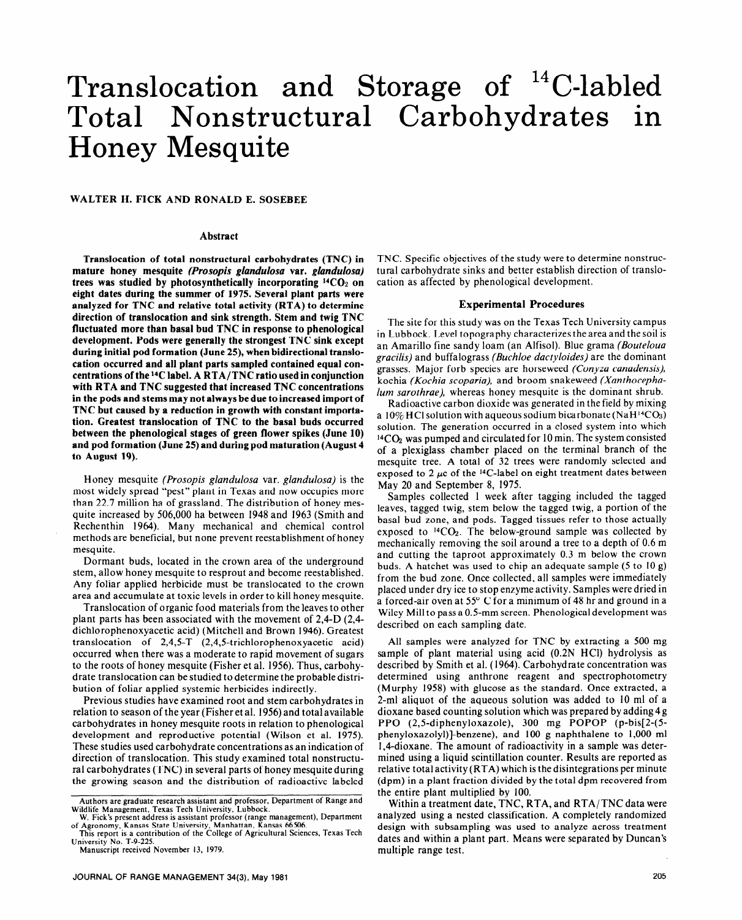# Translocation and Storage of <sup>14</sup>C-labled Total Nonstructural Carbohydrates in Honey Mesquite

### **WALTER H. FICK AND RONALD E. SOSEBEE**

## **Abstract**

**Translocation of total nonstructural carbohydrates (TNC) in mature honey mesquite** *(Prosopis glandulosa* **var.** *glandulosa)*  trees was studied by photosynthetically incorporating <sup>14</sup>CO<sub>2</sub> on **eight dates during the summer of 1975. Several plant parts were analyzed for TNC and relative total activity (RTA) to determine direction of translocation and sink strength. Stem and twig TNC fluctuated more than basal bud TNC in response to phenological development. Pods were generally the strongest TNC sink except during initial pod formation (June 23, when bidirectional translocation occurred and all plant parts sampled contained equal concentrations of the l4C label. A RTA/TNC ratio used in conjunction with RTA and TNC suggested that increased TNC concentrations in the pods and stems may not always be due to increased import of TNC but caused by a reduction in growth with constant importation. Greatest translocation of TNC to the basal buds occurred between the phenological stages of green flower spikes (June 10) and pod formation (June 25) and during pod maturation (August 4 to August 19).** 

Honey mesquite *(Prosopis glandulosa* var. *glandulosa)* is the most widely spread "pest" plant in Texas and now occupies more than 22.7 million ha of grassland. The distribution of honey mesquite increased by 506,000 ha between 1948 and 1963 (Smith and Rechenthin 1964). Many mechanical and chemical control methods are beneficial, but none prevent reestablishment of honey mesquite.

Dormant buds, located in the crown area of the underground stem, allow honey mesquite to resprout and become reestablished. Any foliar applied herbicide must be translocated to the crown area and accumulate at toxic levels in order to kill honey mesquite.

Translocation of organic food materials from the leaves to other plant parts has been associated with the movement of 2,4-D (2,4 dichlorophenoxyacetic acid) (Mitchell and Brown 1946). Greatest translocation of 2,4,5-T (2,4,5-trichlorophenoxyacetic acid) occurred when there was a moderate to rapid movement of sugars to the roots of honey mesquite (Fisher et al. 1956). Thus, carbohydrate translocation can be studied to determine the probable distribution of foliar applied systemic herbicides indirectly.

Previous studies have examined root and stem carbohydrates in relation to season of the year (Fisher et al. 1956) and total available carbohydrates in honey mesquite roots in relation to phenological development and reproductive potential (Wilson et al. 1975). These studies used carbohydrate concentrations as an indication of direction of translocation. This study examined total nonstructural carbohydrates (TNC) in several parts of honey mesquite during the growing season and the distribution of radioactive labeled

TNC. Specific objectives of the study were to determine nonstructural carbohydrate sinks and better establish direction of translocation as affected by phenological development.

#### **Experimental Procedures**

The site for this study was on the Texas Tech University campus in Lubbock, Level topography characterizes the area and the soil is an Amarillo fine sandy loam (an Alfisol). Blue grama *(Bouteloua gracilis)* and buffalograss *(Buchloe dactyloides)* are the dominant grasses. Major forb species are horseweed *(Conyza canadensis),*  kochia *(Kochia scoparia),* and broom snakeweed *(Xanthocephalum sarothrae),* whereas honey mesquite is the dominant shrub.

Radioactive carbon dioxide was generated in the field by mixing a 10% HCl solution with aqueous sodium bicarbonate (Na $H^{14}CO<sub>3</sub>$ ) solution. The generation occurred in a closed system into which  $^{14}CO<sub>2</sub>$  was pumped and circulated for 10 min. The system consisted of a plexiglass chamber placed on the terminal branch of the mesquite tree. A total of 32 trees were randomly selected and exposed to 2  $\mu$ c of the <sup>14</sup>C-label on eight treatment dates between May 20 and September 8, 1975.

Samples collected 1 week after tagging included the tagged leaves, tagged twig, stem below the tagged twig, a portion of the basal bud zone, and pods. Tagged tissues refer to those actually exposed to  $^{14}CO_2$ . The below-ground sample was collected by mechanically removing the soil around a tree to a depth of 0.6 m and cutting the taproot approximately 0.3 m below the crown buds. A hatchet was used to chip an adequate sample (5 to 10 g) from the bud zone. Once collected, all samples were immediately placed under dry ice to stop enzyme activity. Samples were dried in a forced-air oven at 55° C for a minimum of 48 hr and ground in a Wiley Mill to pass a 0.5-mm screen. Phenological development was described on each sampling date.

All samples were analyzed for TNC by extracting a 500 mg sample of plant material using acid (0.2N HCl) hydrolysis as described by Smith et al. (1964). Carbohydrate concentration was determined using anthrone reagent and spectrophotometry (Murphy 1958) with glucose as the standard. Once extracted, a 2-ml aliquot of the aqueous solution was added to 10 ml of a dioxane based counting solution which was prepared by adding 4g PPO (2,5-diphenyloxazole), 300 mg POPOP (p-bis[2-(5 phenyloxazolyl)]-benzene), and 100 g naphthalene to 1,000 ml 1,4-dioxane. The amount of radioactivity in a sample was determined using a liquid scintillation counter. Results are reported as relative total activity (RTA) which is the disintegrations per minute (dpm) in a plant fraction divided by the total dpm recovered from the entire plant multiplied by 100.

Within a treatment date, TNC, RTA, and RTA/TNC data were analyzed using a nested classification. A completely randomized design with subsampling was used to analyze across treatment dates and within a plant part. Means were separated by Duncan's multiple range test.

Authors are graduate research assistant and professor, Department of Range and Wildlife Management, Texas Tech University, Lubbock.

While Management, Texas Testistant professor (range management), Department<br>
of Agronomy, Kansas State University, Manhattan, Kansas 66506.

This report is a contribution of the College of Agricultural Sciences, Texas Tech University No. T-9-225.

Manuscript received November 13, 1979.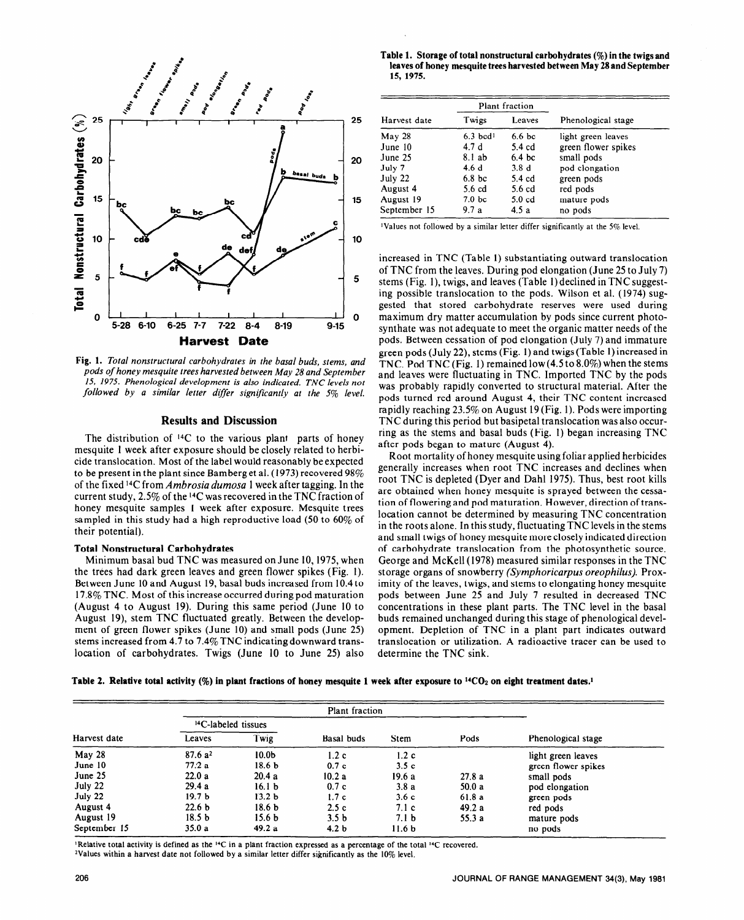

**Fig. 1.** *Total nonstructural carbohydrates in the basal buds, stems, and pods of honey mesquite trees harvested between May 28 and September 15, 1975. Phenological development is also indicated. TNC levels not followed by a similar letter dijfer significantly at the 5% level.* 

## **Results and Discussion**

The distribution of  $^{14}C$  to the various plant parts of honey mesquite 1 week after exposure should be closely related to herbicide translocation. Most of the label would reasonably be expected to be present in the plant since Bamberg et al. (1973) recovered 98% of the fixed 1% from *Ambrosia dumosa* 1 week after tagging. In the current study,  $2.5\%$  of the <sup>14</sup>C was recovered in the TNC fraction of honey mesquite samples I week after exposure. Mesquite trees sampled in this study had a high reproductive load (50 to 60% of their potential).

#### **Total Nonstructural Carbohydrates**

Minimum basal bud TNC was measured on June 10,1975, when the trees had dark green leaves and green flower spikes (Fig. 1). Between June 10 and August 19, basal buds increased from 10.4 to 17.8% TNC. Most of this increase occurred during pod maturation (August 4 to August 19). During this same period (June 10 to August 19), stem TNC fluctuated greatly. Between the development of green flower spikes (June 10) and small pods (June 25) stems increased from 4.7 to 7.4% TNC indicating downward translocation of carbohydrates. Twigs (June 10 to June 25) also

Table 1. Storage of total nonstructural carbohydrates (%) in the twigs and **leaves of honey mesquite trees harvested between May 28 and September 15, 1975.** 

|                   |                        | Plant fraction    |                     |  |
|-------------------|------------------------|-------------------|---------------------|--|
| Harvest date      | Twigs                  | Leaves            | Phenological stage  |  |
| May <sub>28</sub> | $6.3$ bcd <sup>1</sup> | 6.6 <sub>b</sub>  | light green leaves  |  |
| June $10$         | 4.7 d                  | 5.4 cd            | green flower spikes |  |
| June 25           | 8.1 ab                 | 6.4~bc            | small pods          |  |
| July 7            | 4.6d                   | 3.8 <sub>d</sub>  | pod clongation      |  |
| July 22           | 6.8 <sub>b</sub> c     | 5.4 cd            | green pods          |  |
| August 4          | 5.6 cd                 | 5.6 cd            | red pods            |  |
| August 19         | 7.0 <sub>b</sub> c     | 5.0 <sub>cd</sub> | mature pods         |  |
| September 15      | 9.7a                   | 4.5 a             | no pods             |  |

'Values not followed by a similar letter differ significantly at the 5% level.

increased in TNC (Table 1) substantiating outward translocation of TNC from the leaves. During pod elongation (June 25 to July 7) stems (Fig. I), twigs, and leaves (Table 1) declined in TNC suggesting possible translocation to the pods. Wilson et al. (1974) suggested that stored carbohydrate reserves were used during maximum dry matter accumulation by pods since current photosynthate was not adequate to meet the organic matter needs of the pods. Between cessation of pod elongation (July 7) and immature green pods (July 22), stems (Fig. 1) and twigs (Table 1) increased in TNC. Pod TNC (Fig. 1) remained low  $(4.5 \text{ to } 8.0\%)$  when the stems and leaves were fluctuating in TNC. Imported TNC by the pods was probably rapidly converted to structural material. After the pods turned red around August 4, their TNC content increased rapidly reaching 23.5% on August 19 (Fig. 1). Pods were importing TNC during this period but basipetal translocation was also occurring as the stems and basal buds (Fig. 1) began increasing TNC after pods began to mature (August 4).

Root mortality of honey mesquite using foliar applied herbicides generally increases when root TNC increases and declines when root TNC is depleted (Dyer and Dahl 1975). Thus, best root kills are obtained when honey mesquite is sprayed between the cessation of flowering and pod maturation. However, direction of translocation cannot be determined by measuring TNC concentration in the roots alone. In this study, fluctuating TNC levels in the stems and small twigs of honey mesquite more closely indicated direction of carbohydrate translocation from the photosynthetic source. George and McKell(l978) measured similar responses in the TNC storage organs of snowberry *(Symphoricarpus oreophilus).* Proximity of the leaves, twigs, and stems to elongating honey mesquite pods between June 25 and July 7 resulted in decreased TNC concentrations in these plant parts. The TNC level in the basal buds remained unchanged during this stage of phenological development. Depletion of TNC in a plant part indicates outward translocation or utilization. A radioactive tracer can be used to determine the TNC sink.

Table 2. Relative total activity (%) in plant fractions of honey mesquite 1 week after exposure to <sup>14</sup>CO<sub>2</sub> on eight treatment dates.<sup>1</sup>

|              |                                 | Plant fraction    |                  |                   |       |                     |
|--------------|---------------------------------|-------------------|------------------|-------------------|-------|---------------------|
|              | <sup>14</sup> C-labeled tissues |                   |                  |                   |       |                     |
| Harvest date | Leaves                          | Twig              | Basal buds       | <b>Stem</b>       | Pods  | Phenological stage  |
| May 28       | 87.6 a <sup>2</sup>             | 10.0 <sub>b</sub> | 1.2c             | 1.2c              |       | light green leaves  |
| June $10$    | 77.2a                           | 18.6 <sub>b</sub> | 0.7c             | 3.5c              |       | green flower spikes |
| June 25      | 22.0a                           | 20.4a             | 10.2a            | 19.6 a            | 27.8a | small pods          |
| July 22      | 29.4a                           | 16.1 <sub>b</sub> | 0.7c             | 3.8a              | 50.0a | pod elongation      |
| July $22$    | 19.7 <sub>b</sub>               | 13.2 <sub>b</sub> | 1.7c             | 3.6c              | 61.8a | green pods          |
| August 4     | 22.6 <sub>b</sub>               | 18.6 <sub>b</sub> | 2.5c             | 7.1c              | 49.2a | red pods            |
| August 19    | 18.5 <sub>b</sub>               | 15.6 <sub>b</sub> | 3.5 <sub>b</sub> | 7.1 <sub>b</sub>  | 55.3a | mature pods         |
| September 15 | 35.0a                           | 49.2a             | 4.2 <sub>b</sub> | 11.6 <sub>b</sub> |       | no pods             |

'Relative total activity is defined as the 14C in a plant fraction expressed as a percentage of the total l4C recovered. <sup>2</sup>Values within a harvest date not followed by a similar letter differ significantly as the 10% level.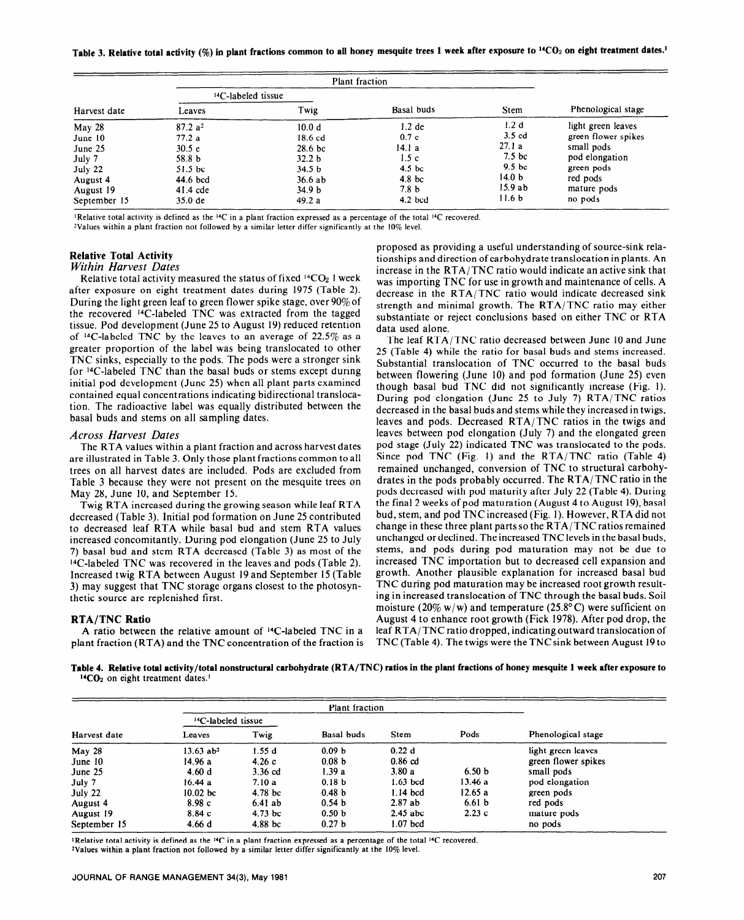|              |                       |                    | Plant fraction     |                   |                     |
|--------------|-----------------------|--------------------|--------------------|-------------------|---------------------|
|              | $14C$ -labeled tissue |                    |                    |                   |                     |
| Harvest date | Leaves                | Twig               | Basal buds         | Stem              | Phenological stage  |
| May 28       | 87.2 a <sup>2</sup>   | 10.0 <sub>d</sub>  | 1.2 <sub>de</sub>  | 1.2 <sub>d</sub>  | light green leaves  |
| June $10$    | 77.2a                 | 18.6 cd            | 0.7 <sub>e</sub>   | 3.5cd             | green flower spikes |
| June $25$    | 30.5 <sub>e</sub>     | 28.6 <sub>bc</sub> | 14.1a              | 27.1a             | small pods          |
| July 7       | 58.8 b                | 32.2 <sub>b</sub>  | 1.5c               | 7.5 <sub>bc</sub> | pod elongation      |
| July $22$    | $51.5$ bc             | 34.5 <sub>b</sub>  | 4.5 <sub>b</sub> c | 9.5 <sub>bc</sub> | green pods          |
| August 4     | 44.6 bcd              | 36.6ab             | 4.8 <sub>bc</sub>  | 14.0 <sub>b</sub> | red pods            |
| August 19    | 41.4 cde              | 34.9 <sub>b</sub>  | 7.8 <sub>b</sub>   | 15.9ab            | mature pods         |
| September 15 | $35.0$ de             | 49.2 a             | $4.2$ bcd          | 11.6 <sub>b</sub> | no pods             |

'Relative total activity is defined as the <sup>14</sup>C in a plant fraction expressed as a percentage of the total <sup>14</sup>C recovered.

2Values within a plant fraction not followed by a similar letter differ significantly at the 10% level.

## Relative Total Activity

*Within Harvest Dates* 

Relative total activity measured the status of fixed  $^{14}CO_2$  I week after exposure on eight treatment dates during 1975 (Table 2). During the light green leaf to green flower spike stage, over 90% of the recovered 14C-labeled TNC was extracted from the tagged tissue. Pod development (June 25 to August 19) reduced retention of  $^{14}$ C-labeled TNC by the leaves to an average of 22.5% as a greater proportion of the label was being translocated to other TNC sinks, especially to the pods. The pods were a stronger sink for  $^{14}C$ -labeled TNC than the basal buds or stems except during initial pod development (June 25) when all plant parts examined contained equal concentrations indicating bidirectional translocation. The radioactive label was equally distributed between the basal buds and stems on all sampling dates.

## *Across Harvest Dates*

The RTA values within a plant fraction and across harvest dates are illustrated in Table 3. Only those plant fractions common to all trees on all harvest dates are included. Pods are excluded from Table 3 because they were not present on the mesquite trees on May 28, June 10, and September 15.

Twig RTA increased during the growing season while leaf RTA decreased (Table 3). Initial pod formation on June 25 contributed to decreased leaf RTA while basal bud and stem RTA values increased concomitantly. During pod elongation (June 25 to July 7) basal bud and stem RTA decreased (Table 3) as most of the <sup>14</sup>C-labeled TNC was recovered in the leaves and pods (Table 2). Increased twig RTA between August 19 and September 15 (Table 3) may suggest that TNC storage organs closest to the photosynthetic source are replenished first.

## RTA/TNC Ratio

A ratio between the relative amount of  $^{14}$ C-labeled TNC in a plant fraction (RTA) and the TNC concentration of the fraction is proposed as providing a useful understanding of source-sink relationships and direction of carbohydrate translocation in plants. An increase in the RTA/TNC ratio would indicate an active sink that was importing TNC for use in growth and maintenance of cells. A decrease in the RTA/TNC ratio would indicate decreased sink strength and minimal growth. The RTA/TNC ratio may either substantiate or reject conclusions based on either TNC or RTA data used alone.

The leaf RTA/ TNC ratio decreased between June 10 and June 25 (Table 4) while the ratio for basal buds and stems increased. Substantial translocation of TNC occurred to the basal buds between flowering (June 10) and pod formation (June 25) even though basal bud TNC did not significantly increase (Fig. 1). During pod elongation (June 25 to July 7) RTA/TNC ratios decreased in the basal buds and stems while they increased in twigs, leaves and pods. Decreased RTA/TNC ratios in the twigs and leaves between pod elongation (July 7) and the elongated green pod stage (July 22) indicated TNC was translocated to the pods. Since pod TNC (Fig. 1) and the RTA/TNC ratio (Table 4) remained unchanged, conversion of TNC to structural carbohydrates in the pods probably occurred. The RTA/ TNC ratio in the pods decreased with pod maturity after July 22 (Table 4). During the final 2 weeks of pod maturation (August 4 to August 19), basal bud, stem, and pod TNC increased (Fig. 1). However, RTA did not change in these three plant parts so the RTA/TNC ratios remained unchanged or declined. The increased TNC levels in the basal buds, stems, and pods during pod maturation may not be due to increased TNC importation but to decreased cell expansion and growth. Another plausible explanation for increased basal bud TNC during pod maturation may be increased root growth resulting in increased translocation of TNC through the basal buds. Soil moisture (20% w/w) and temperature (25.8°C) were sufficient on August 4 to enhance root growth (Fick 1978). After pod drop, the leaf RTA/TNC ratio dropped, indicating outward translocation of TNC (Table 4). The twigs were the TNC sink between August 19 to

Table 4. Relative total activity/total nonstructural carbohydrate (RTA/TNC) ratios in the plant fractions of honey mesquite 1 week after exposure to <sup>14</sup>CO<sub>2</sub> on eight treatment dates.<sup>1</sup>

|              |                         | Plant fraction     |                   |            |                   |                     |
|--------------|-------------------------|--------------------|-------------------|------------|-------------------|---------------------|
|              | $14C$ -labeled tissue   |                    |                   |            |                   |                     |
| Harvest date | Leaves                  | Twig               | Basal buds        | Stem       | Pods              | Phenological stage  |
| May $28$     | $13.63$ ab <sup>2</sup> | 1.55d              | 0.09 <sub>b</sub> | 0.22d      |                   | light green leaves  |
| June $10$    | 14.96 a                 | 4.26c              | 0.08 <sub>b</sub> | $0.86$ cd  |                   | green flower spikes |
| June 25      | 4.60 $d$                | $3.36$ cd          | 1.39a             | 3.80a      | 6.50 <sub>b</sub> | small pods          |
| July 7       | 16.44a                  | 7.10 a             | 0.18 <sub>b</sub> | $1.63$ bcd | 13.46a            | pod clongation      |
| July 22      | $10.02$ bc              | 4.78 bc            | 0.48 <sub>b</sub> | $1.14$ bcd | 12.65a            | green pods          |
| August 4     | 8.98c                   | 6.41ab             | 0.54 <sub>b</sub> | 2.87ab     | 6.61 <sub>b</sub> | red pods            |
| August 19    | 8.84c                   | $4.73~\mathrm{bc}$ | 0.50 <sub>b</sub> | $2.45$ abc | 2.23c             | mature pods         |
| September 15 | 4.66 d                  | $4.88$ bc          | 0.27 <sub>b</sub> | $1.07$ bcd |                   | no pods             |

'Relative total activity is defined as the 14C in a plant fraction expressed as a percentage of the total 14C recovered. \*Values within a plant fraction not followed by a similar letter differ significantly at the 10% level.